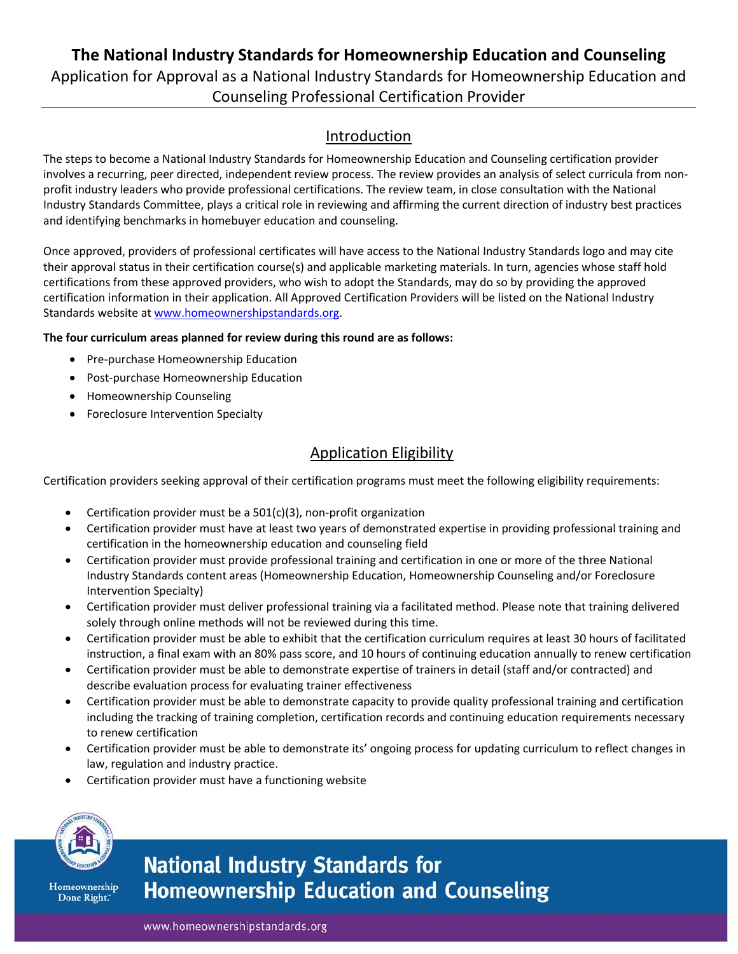# **The National Industry Standards for Homeownership Education and Counseling** Application for Approval as a National Industry Standards for Homeownership Education and Counseling Professional Certification Provider

### Introduction

The steps to become a National Industry Standards for Homeownership Education and Counseling certification provider involves a recurring, peer directed, independent review process. The review provides an analysis of select curricula from nonprofit industry leaders who provide professional certifications. The review team, in close consultation with the National Industry Standards Committee, plays a critical role in reviewing and affirming the current direction of industry best practices and identifying benchmarks in homebuyer education and counseling.

Once approved, providers of professional certificates will have access to the National Industry Standards logo and may cite their approval status in their certification course(s) and applicable marketing materials. In turn, agencies whose staff hold certifications from these approved providers, who wish to adopt the Standards, may do so by providing the approved certification information in their application. All Approved Certification Providers will be listed on the National Industry Standards website at [www.homeownershipstandards.org.](http://www.homeownershipstandards.org/)

#### **The four curriculum areas planned for review during this round are as follows:**

- Pre-purchase Homeownership Education
- Post-purchase Homeownership Education
- Homeownership Counseling
- Foreclosure Intervention Specialty

# Application Eligibility

Certification providers seeking approval of their certification programs must meet the following eligibility requirements:

- Certification provider must be a  $501(c)(3)$ , non-profit organization
- Certification provider must have at least two years of demonstrated expertise in providing professional training and certification in the homeownership education and counseling field
- Certification provider must provide professional training and certification in one or more of the three National Industry Standards content areas (Homeownership Education, Homeownership Counseling and/or Foreclosure Intervention Specialty)
- Certification provider must deliver professional training via a facilitated method. Please note that training delivered solely through online methods will not be reviewed during this time.
- Certification provider must be able to exhibit that the certification curriculum requires at least 30 hours of facilitated instruction, a final exam with an 80% pass score, and 10 hours of continuing education annually to renew certification
- Certification provider must be able to demonstrate expertise of trainers in detail (staff and/or contracted) and describe evaluation process for evaluating trainer effectiveness
- Certification provider must be able to demonstrate capacity to provide quality professional training and certification including the tracking of training completion, certification records and continuing education requirements necessary to renew certification
- Certification provider must be able to demonstrate its' ongoing process for updating curriculum to reflect changes in law, regulation and industry practice.
- Certification provider must have a functioning website



Homeownership Done Right."

# **National Industry Standards for Homeownership Education and Counseling**

www.homeownershipstandards.org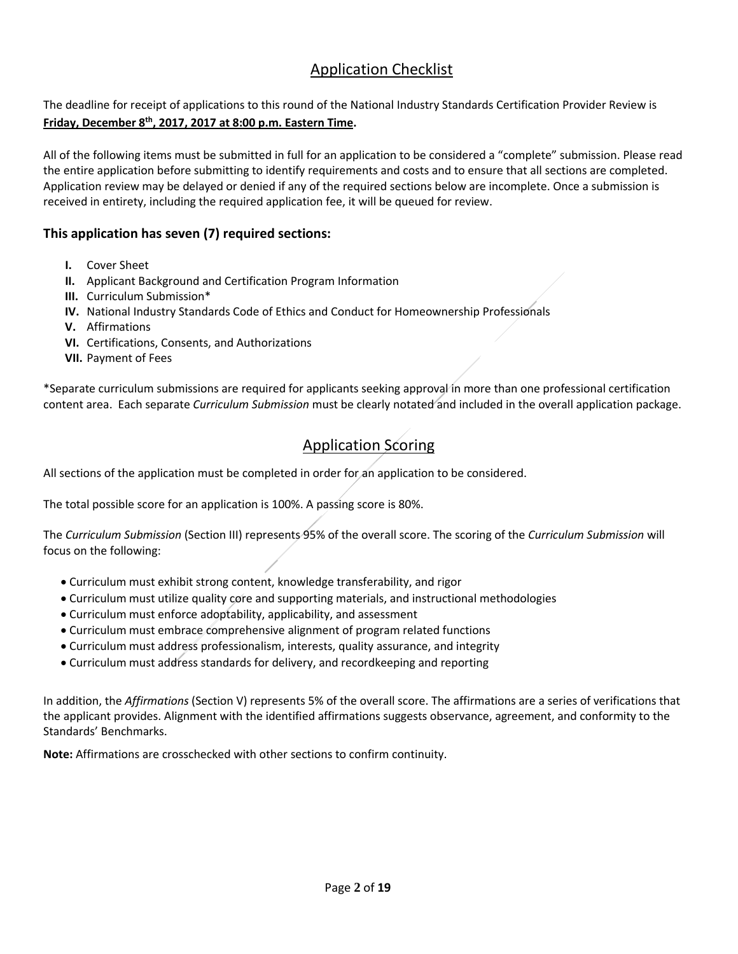### Application Checklist

The deadline for receipt of applications to this round of the National Industry Standards Certification Provider Review is **Friday, December 8th, 2017, 2017 at 8:00 p.m. Eastern Time.**

All of the following items must be submitted in full for an application to be considered a "complete" submission. Please read the entire application before submitting to identify requirements and costs and to ensure that all sections are completed. Application review may be delayed or denied if any of the required sections below are incomplete. Once a submission is received in entirety, including the required application fee, it will be queued for review.

### **This application has seven (7) required sections:**

- **I.** Cover Sheet
- **II.** Applicant Background and Certification Program Information
- **III.** Curriculum Submission\*
- **IV.** National Industry Standards Code of Ethics and Conduct for Homeownership Professionals
- **V.** Affirmations
- **VI.** Certifications, Consents, and Authorizations
- **VII.** Payment of Fees

\*Separate curriculum submissions are required for applicants seeking approval in more than one professional certification content area. Each separate *Curriculum Submission* must be clearly notated and included in the overall application package.

## Application Scoring

All sections of the application must be completed in order for an application to be considered.

The total possible score for an application is 100%. A passing score is 80%.

The *Curriculum Submission* (Section III) represents 95% of the overall score. The scoring of the *Curriculum Submission* will focus on the following:

- Curriculum must exhibit strong content, knowledge transferability, and rigor
- Curriculum must utilize quality core and supporting materials, and instructional methodologies
- Curriculum must enforce adoptability, applicability, and assessment
- Curriculum must embrace comprehensive alignment of program related functions
- Curriculum must address professionalism, interests, quality assurance, and integrity
- Curriculum must address standards for delivery, and recordkeeping and reporting

In addition, the *Affirmations* (Section V) represents 5% of the overall score. The affirmations are a series of verifications that the applicant provides. Alignment with the identified affirmations suggests observance, agreement, and conformity to the Standards' Benchmarks.

**Note:** Affirmations are crosschecked with other sections to confirm continuity.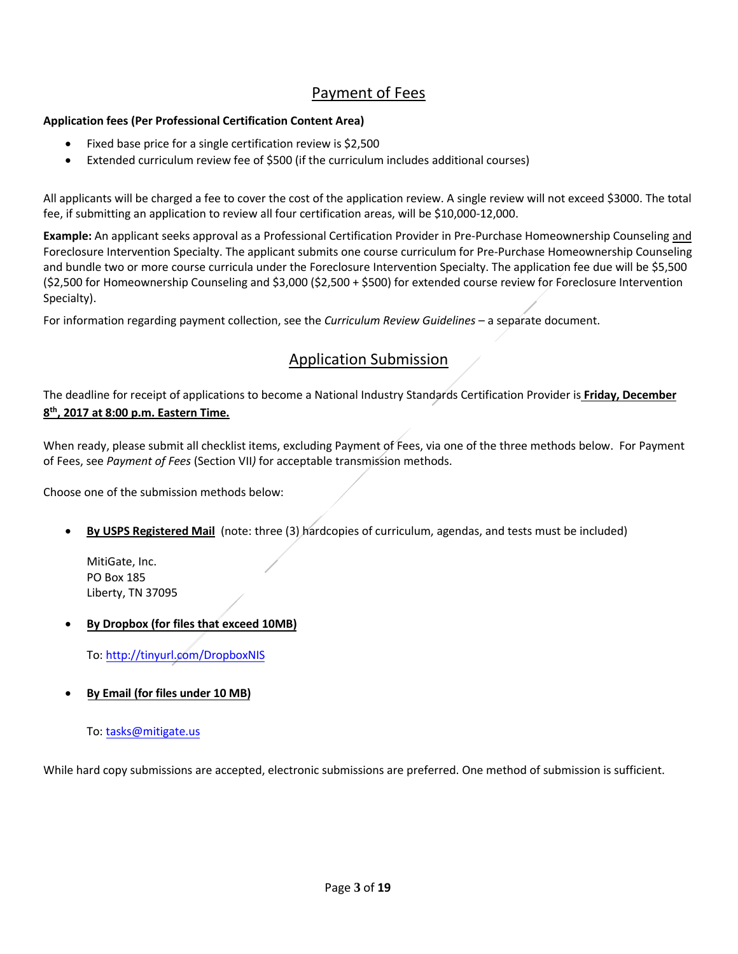# Payment of Fees

#### **Application fees (Per Professional Certification Content Area)**

- Fixed base price for a single certification review is \$2,500
- Extended curriculum review fee of \$500 (if the curriculum includes additional courses)

All applicants will be charged a fee to cover the cost of the application review. A single review will not exceed \$3000. The total fee, if submitting an application to review all four certification areas, will be \$10,000-12,000.

**Example:** An applicant seeks approval as a Professional Certification Provider in Pre-Purchase Homeownership Counseling and Foreclosure Intervention Specialty. The applicant submits one course curriculum for Pre-Purchase Homeownership Counseling and bundle two or more course curricula under the Foreclosure Intervention Specialty. The application fee due will be \$5,500 (\$2,500 for Homeownership Counseling and \$3,000 (\$2,500 + \$500) for extended course review for Foreclosure Intervention Specialty).

For information regarding payment collection, see the *Curriculum Review Guidelines* – a separate document.

### Application Submission

The deadline for receipt of applications to become a National Industry Standards Certification Provider is **Friday, December 8th, 2017 at 8:00 p.m. Eastern Time.**

When ready, please submit all checklist items, excluding Payment of Fees, via one of the three methods below. For Payment of Fees, see *Payment of Fees* (Section VII*)* for acceptable transmission methods.

Choose one of the submission methods below:

• **By USPS Registered Mail** (note: three (3) hardcopies of curriculum, agendas, and tests must be included)

MitiGate, Inc. PO Box 185 Liberty, TN 37095

• **By Dropbox (for files that exceed 10MB)**

To: [http://tinyurl.com/DropboxNIS](https://www.jotformpro.com/jasonzavala/StandardsUpload)

• **By Email (for files under 10 MB)**

To: [tasks@mitigate.us](mailto:tasks@mitigate.us)

While hard copy submissions are accepted, electronic submissions are preferred. One method of submission is sufficient.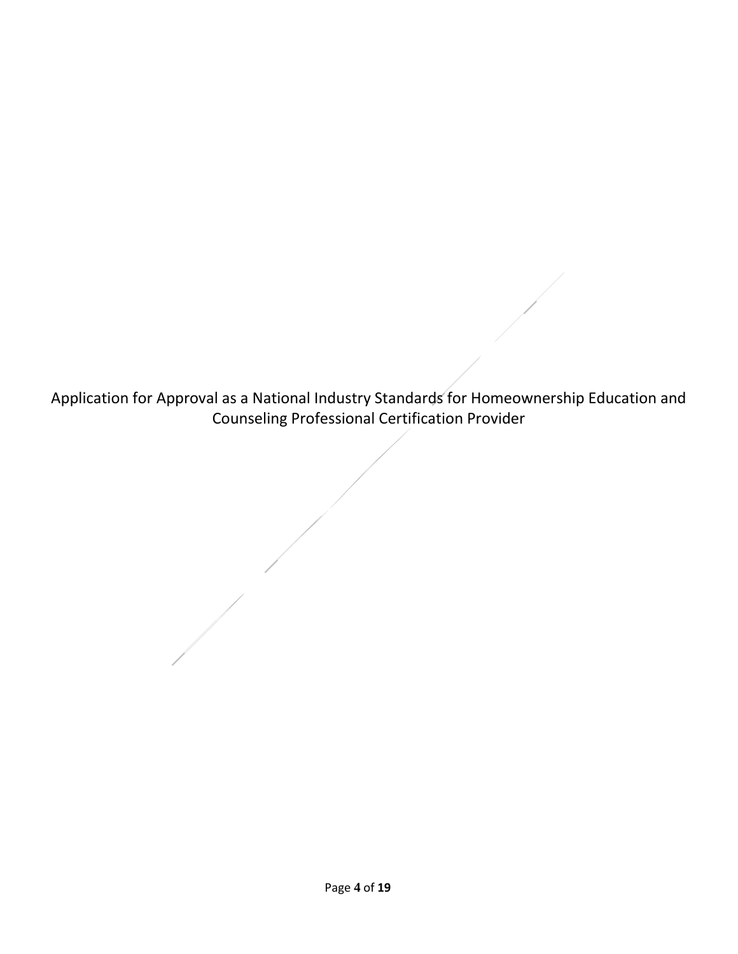Application for Approval as a National Industry Standards for Homeownership Education and Counseling Professional Certification Provider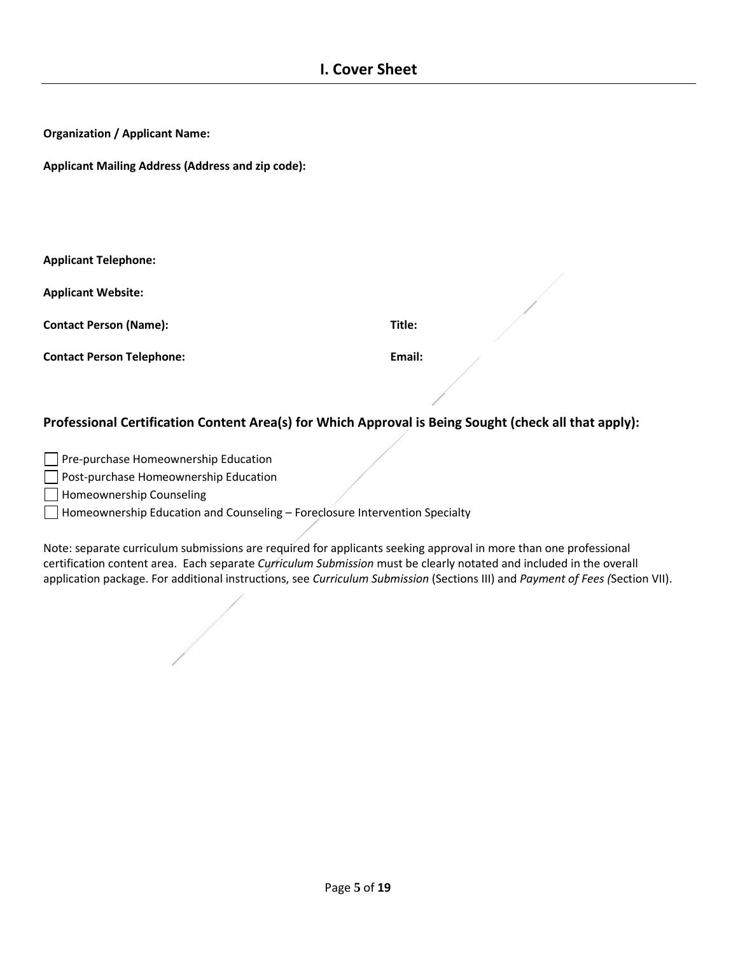| <b>Organization / Applicant Name:</b> |  |  |  |
|---------------------------------------|--|--|--|
|---------------------------------------|--|--|--|

**Applicant Mailing Address (Address and zip code):**

|  | <b>Applicant Telephone:</b> |
|--|-----------------------------|
|--|-----------------------------|

**Applicant Website:**

**Contact Person (Name): Title:**

**Contact Person Telephone: Email:**

#### **Professional Certification Content Area(s) for Which Approval is Being Sought (check all that apply):**

Pre-purchase Homeownership Education

**Post-purchase Homeownership Education** 

Homeownership Counseling

Homeownership Education and Counseling – Foreclosure Intervention Specialty

Note: separate curriculum submissions are required for applicants seeking approval in more than one professional certification content area. Each separate *Curriculum Submission* must be clearly notated and included in the overall application package. For additional instructions, see *Curriculum Submission* (Sections III) and *Payment of Fees (*Section VII).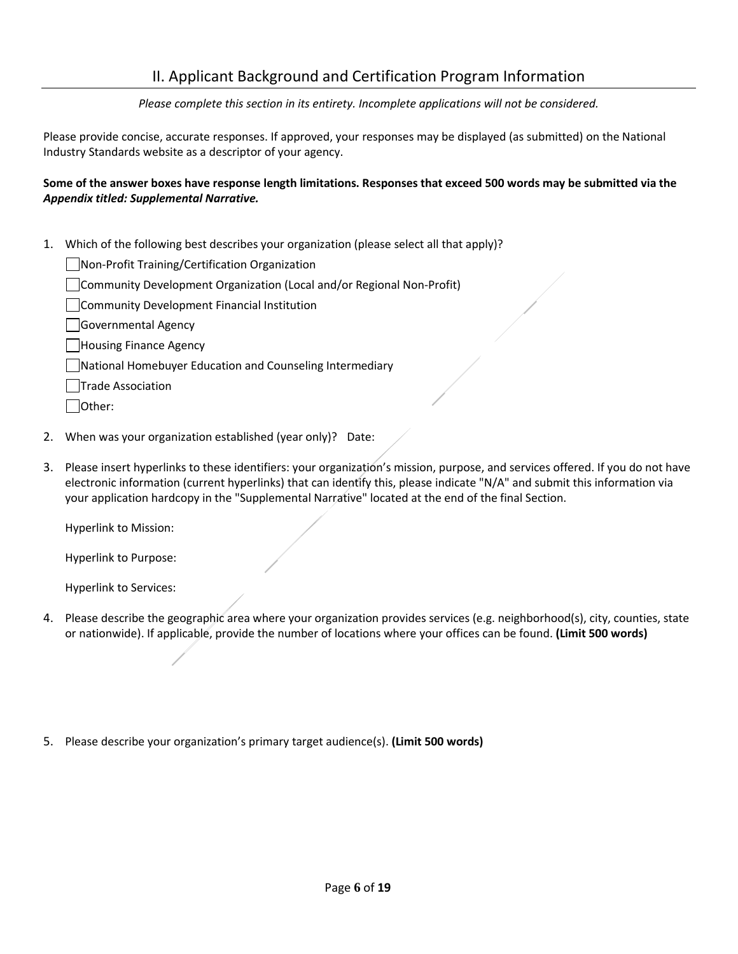### II. Applicant Background and Certification Program Information

*Please complete this section in its entirety. Incomplete applications will not be considered.*

Please provide concise, accurate responses. If approved, your responses may be displayed (as submitted) on the National Industry Standards website as a descriptor of your agency.

#### **Some of the answer boxes have response length limitations. Responses that exceed 500 words may be submitted via the**  *Appendix titled: Supplemental Narrative.*

1. Which of the following best describes your organization (please select all that apply)?

Non-Profit Training/Certification Organization

Community Development Organization (Local and/or Regional Non-Profit)

**Community Development Financial Institution** 

Governmental Agency

| Housing Finance Agency

National Homebuyer Education and Counseling Intermediary

**Trade Association** 

Other:

- 2. When was your organization established (year only)? Date:
- 3. Please insert hyperlinks to these identifiers: your organization's mission, purpose, and services offered. If you do not have electronic information (current hyperlinks) that can identify this, please indicate "N/A" and submit this information via your application hardcopy in the "Supplemental Narrative" located at the end of the final Section.

Hyperlink to Mission:

Hyperlink to Purpose:

Hyperlink to Services:

- 4. Please describe the geographic area where your organization provides services (e.g. neighborhood(s), city, counties, state or nationwide). If applicable, provide the number of locations where your offices can be found. **(Limit 500 words)**
- 5. Please describe your organization's primary target audience(s). **(Limit 500 words)**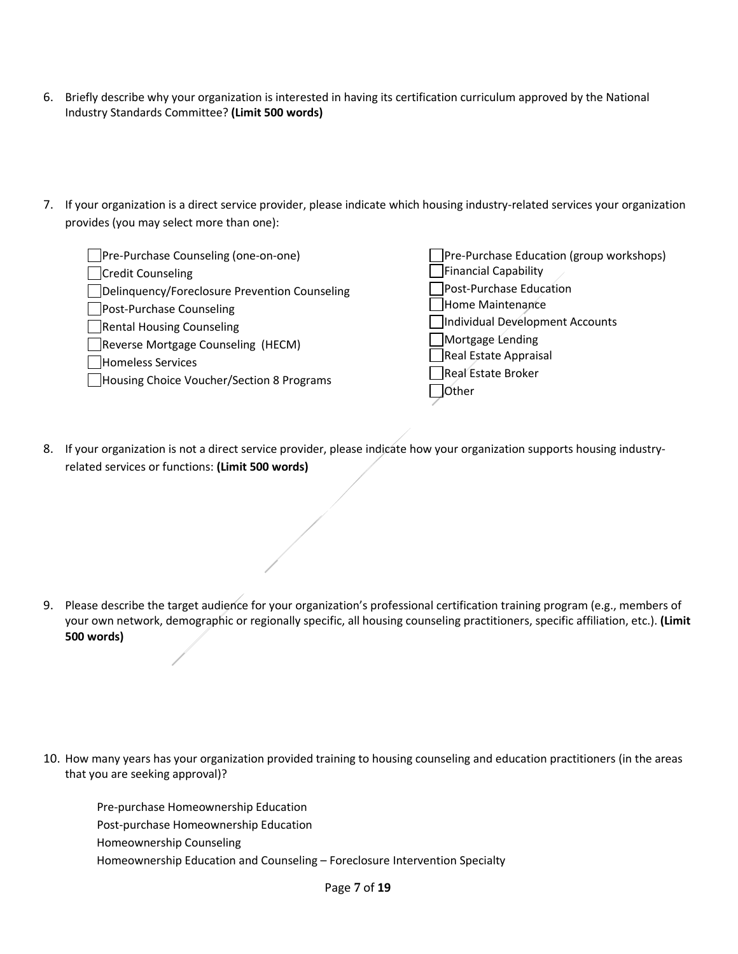- 6. Briefly describe why your organization is interested in having its certification curriculum approved by the National Industry Standards Committee? **(Limit 500 words)**
- 7. If your organization is a direct service provider, please indicate which housing industry-related services your organization provides (you may select more than one):

| Pre-Purchase Counseling (one-on-one)          | Pre-Purchase Education (group workshops) |
|-----------------------------------------------|------------------------------------------|
| <b>Credit Counseling</b>                      | <b>Financial Capability</b>              |
| Delinquency/Foreclosure Prevention Counseling | Post-Purchase Education                  |
| Post-Purchase Counseling                      | Home Maintenance                         |
| Rental Housing Counseling                     | Individual Development Accounts          |
| Reverse Mortgage Counseling (HECM)            | Mortgage Lending                         |
| <b>Homeless Services</b>                      | Real Estate Appraisal                    |
| Housing Choice Voucher/Section 8 Programs     | Real Estate Broker                       |
|                                               | <b>JOther</b>                            |
|                                               |                                          |

8. If your organization is not a direct service provider, please indicate how your organization supports housing industryrelated services or functions: **(Limit 500 words)**

9. Please describe the target audience for your organization's professional certification training program (e.g., members of your own network, demographic or regionally specific, all housing counseling practitioners, specific affiliation, etc.). **(Limit 500 words)**

10. How many years has your organization provided training to housing counseling and education practitioners (in the areas that you are seeking approval)?

 Pre-purchase Homeownership Education Post-purchase Homeownership Education Homeownership Counseling Homeownership Education and Counseling – Foreclosure Intervention Specialty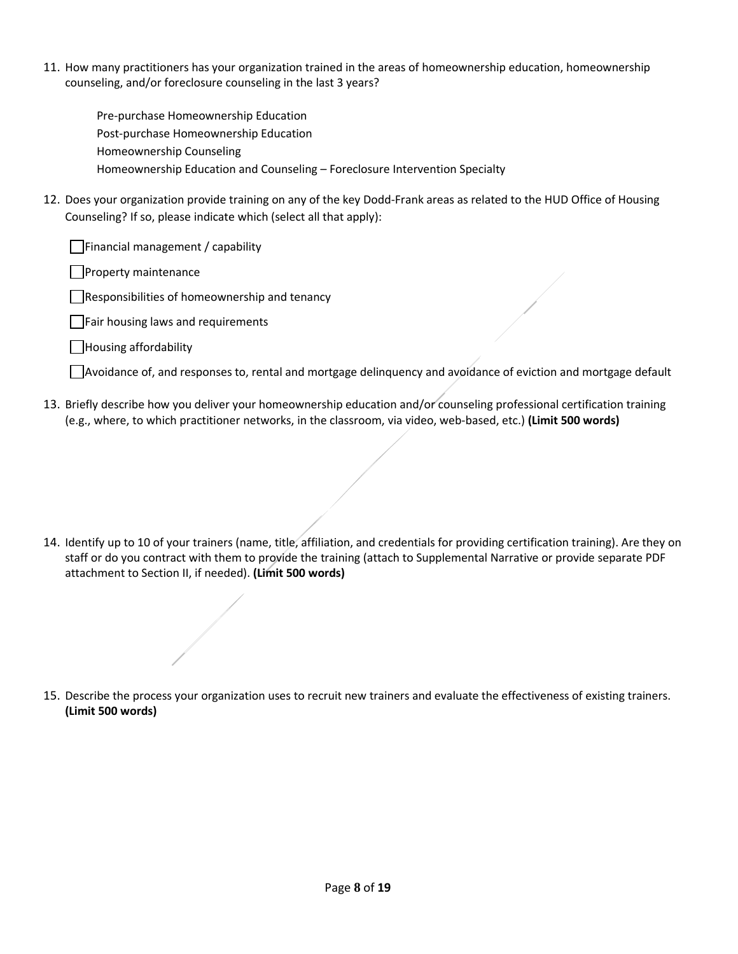11. How many practitioners has your organization trained in the areas of homeownership education, homeownership counseling, and/or foreclosure counseling in the last 3 years?

 Pre-purchase Homeownership Education Post-purchase Homeownership Education Homeownership Counseling Homeownership Education and Counseling – Foreclosure Intervention Specialty

12. Does your organization provide training on any of the key Dodd-Frank areas as related to the HUD Office of Housing Counseling? If so, please indicate which (select all that apply):

 $\Box$ Financial management / capability

Property maintenance

 $\Box$ Responsibilities of homeownership and tenancy

Fair housing laws and requirements

Housing affordability

 $\Box$ Avoidance of, and responses to, rental and mortgage delinquency and avoidance of eviction and mortgage default

13. Briefly describe how you deliver your homeownership education and/or counseling professional certification training (e.g., where, to which practitioner networks, in the classroom, via video, web-based, etc.) **(Limit 500 words)**

14. Identify up to 10 of your trainers (name, title, affiliation, and credentials for providing certification training). Are they on staff or do you contract with them to provide the training (attach to Supplemental Narrative or provide separate PDF attachment to Section II, if needed). **(Limit 500 words)**

15. Describe the process your organization uses to recruit new trainers and evaluate the effectiveness of existing trainers. **(Limit 500 words)**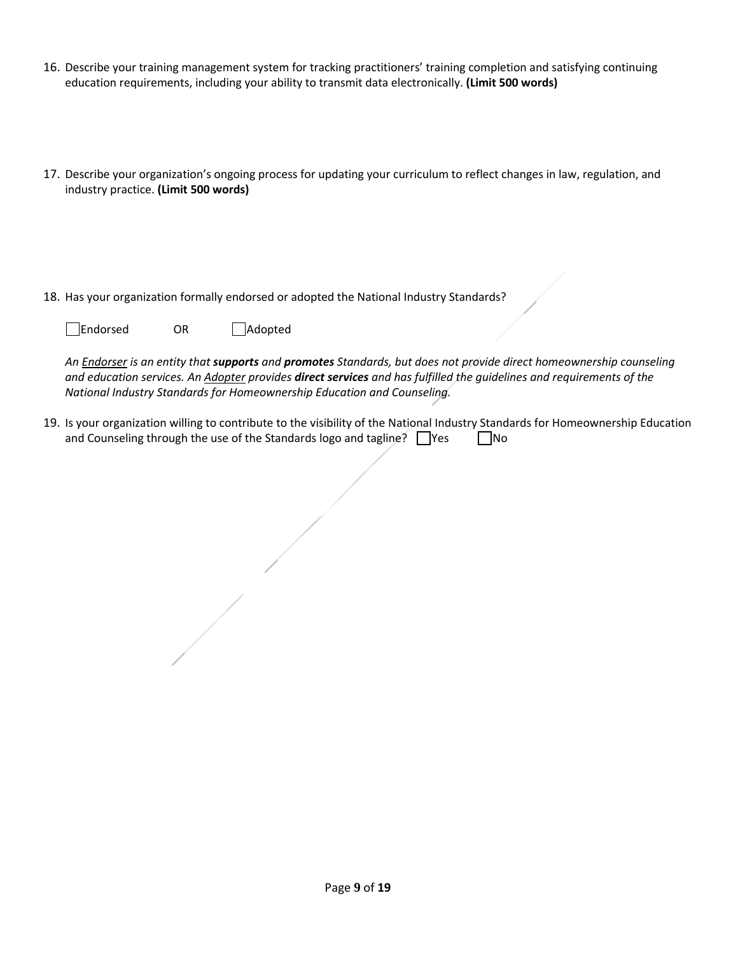- 16. Describe your training management system for tracking practitioners' training completion and satisfying continuing education requirements, including your ability to transmit data electronically. **(Limit 500 words)**
- 17. Describe your organization's ongoing process for updating your curriculum to reflect changes in law, regulation, and industry practice. **(Limit 500 words)**
- 18. Has your organization formally endorsed or adopted the National Industry Standards?

Endorsed OR Adopted

*An Endorser is an entity that supports and promotes Standards, but does not provide direct homeownership counseling and education services. An Adopter provides direct services and has fulfilled the guidelines and requirements of the National Industry Standards for Homeownership Education and Counseling.* 

19. Is your organization willing to contribute to the visibility of the National Industry Standards for Homeownership Education and Counseling through the use of the Standards logo and tagline?  $\Box$ Yes  $\Box$ No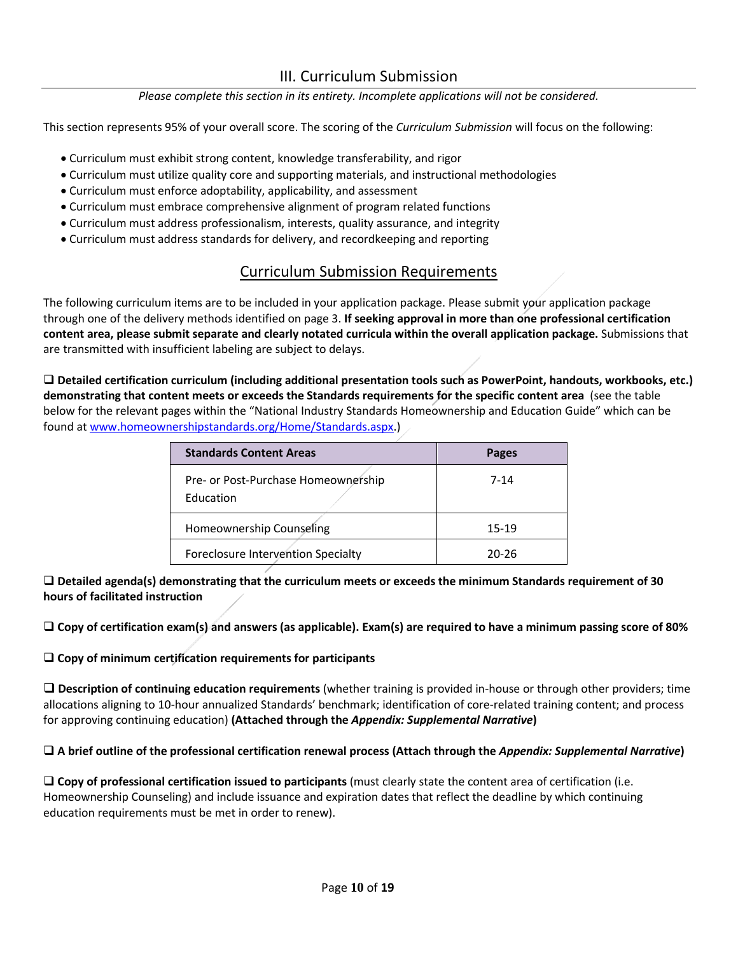### III. Curriculum Submission

#### *Please complete this section in its entirety. Incomplete applications will not be considered.*

This section represents 95% of your overall score. The scoring of the *Curriculum Submission* will focus on the following:

- Curriculum must exhibit strong content, knowledge transferability, and rigor
- Curriculum must utilize quality core and supporting materials, and instructional methodologies
- Curriculum must enforce adoptability, applicability, and assessment
- Curriculum must embrace comprehensive alignment of program related functions
- Curriculum must address professionalism, interests, quality assurance, and integrity
- Curriculum must address standards for delivery, and recordkeeping and reporting

## Curriculum Submission Requirements

The following curriculum items are to be included in your application package. Please submit your application package through one of the delivery methods identified on page 3. **If seeking approval in more than one professional certification content area, please submit separate and clearly notated curricula within the overall application package.** Submissions that are transmitted with insufficient labeling are subject to delays.

 **Detailed certification curriculum (including additional presentation tools such as PowerPoint, handouts, workbooks, etc.) demonstrating that content meets or exceeds the Standards requirements for the specific content area** (see the table below for the relevant pages within the "National Industry Standards Homeownership and Education Guide" which can be found a[t www.homeownershipstandards.org/Home/Standards.aspx.](http://www.homeownershipstandards.org/Home/Standards.aspx))

| <b>Standards Content Areas</b>                          | <b>Pages</b> |
|---------------------------------------------------------|--------------|
| Pre- or Post-Purchase Homeownership<br><b>Education</b> | 7-14         |
| Homeownership Counseling                                | 15-19        |
| Foreclosure Intervention Specialty                      | 20-26        |

 **Detailed agenda(s) demonstrating that the curriculum meets or exceeds the minimum Standards requirement of 30 hours of facilitated instruction**

**Copy of certification exam(s) and answers (as applicable). Exam(s) are required to have a minimum passing score of 80%**

#### **Copy of minimum certification requirements for participants**

 **Description of continuing education requirements** (whether training is provided in-house or through other providers; time allocations aligning to 10-hour annualized Standards' benchmark; identification of core-related training content; and process for approving continuing education) **(Attached through the** *Appendix: Supplemental Narrative***)** 

#### **A brief outline of the professional certification renewal process (Attach through the** *Appendix: Supplemental Narrative***)**

 **Copy of professional certification issued to participants** (must clearly state the content area of certification (i.e. Homeownership Counseling) and include issuance and expiration dates that reflect the deadline by which continuing education requirements must be met in order to renew).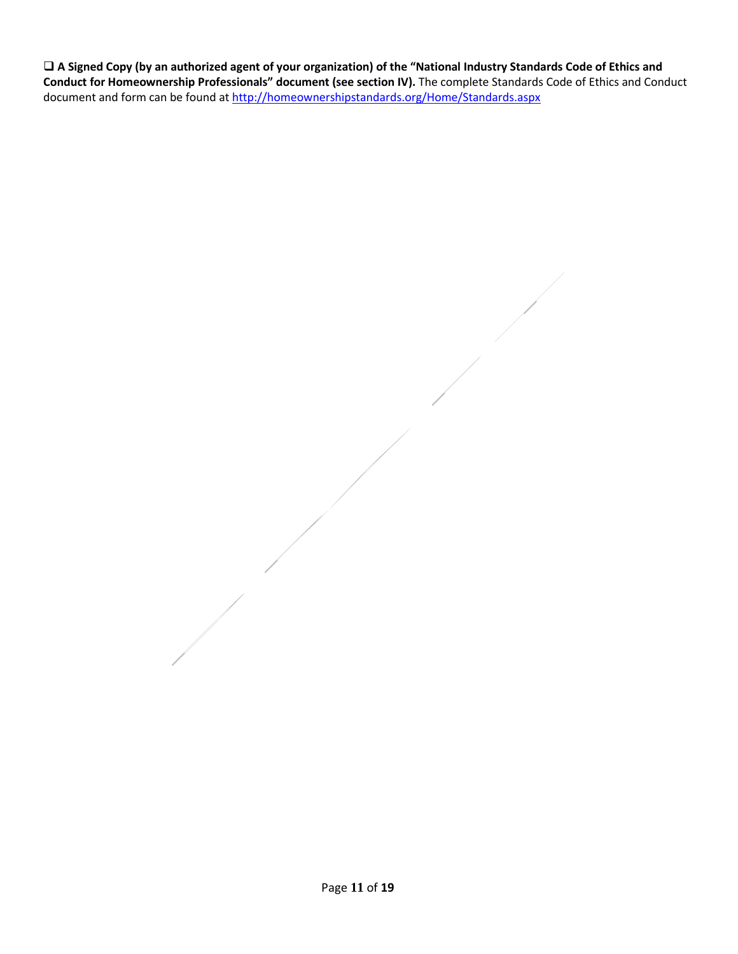**A Signed Copy (by an authorized agent of your organization) of the "National Industry Standards Code of Ethics and Conduct for Homeownership Professionals" document (see section IV).** The complete Standards Code of Ethics and Conduct document and form can be found a[t http://homeownershipstandards.org/Home/Standards.aspx](http://homeownershipstandards.org/Home/Standards.aspx)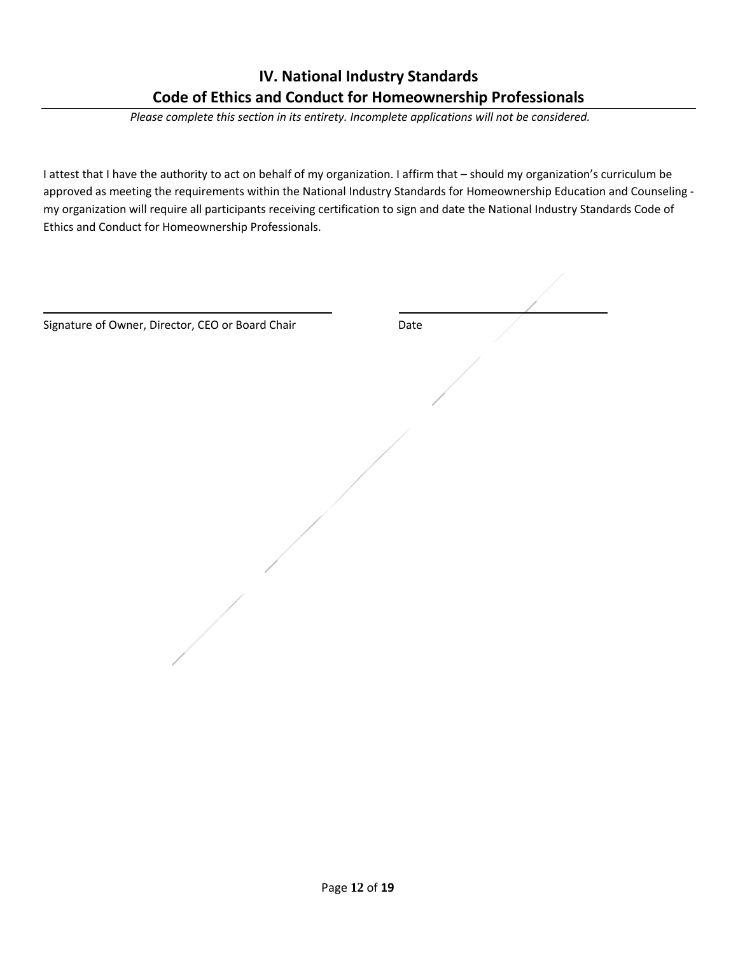# **IV. National Industry Standards Code of Ethics and Conduct for Homeownership Professionals**

 *Please complete this section in its entirety. Incomplete applications will not be considered.*

I attest that I have the authority to act on behalf of my organization. I affirm that – should my organization's curriculum be approved as meeting the requirements within the National Industry Standards for Homeownership Education and Counseling my organization will require all participants receiving certification to sign and date the National Industry Standards Code of Ethics and Conduct for Homeownership Professionals.

| Signature of Owner, Director, CEO or Board Chair | Date |
|--------------------------------------------------|------|
|                                                  |      |
|                                                  |      |
|                                                  |      |
|                                                  |      |
|                                                  |      |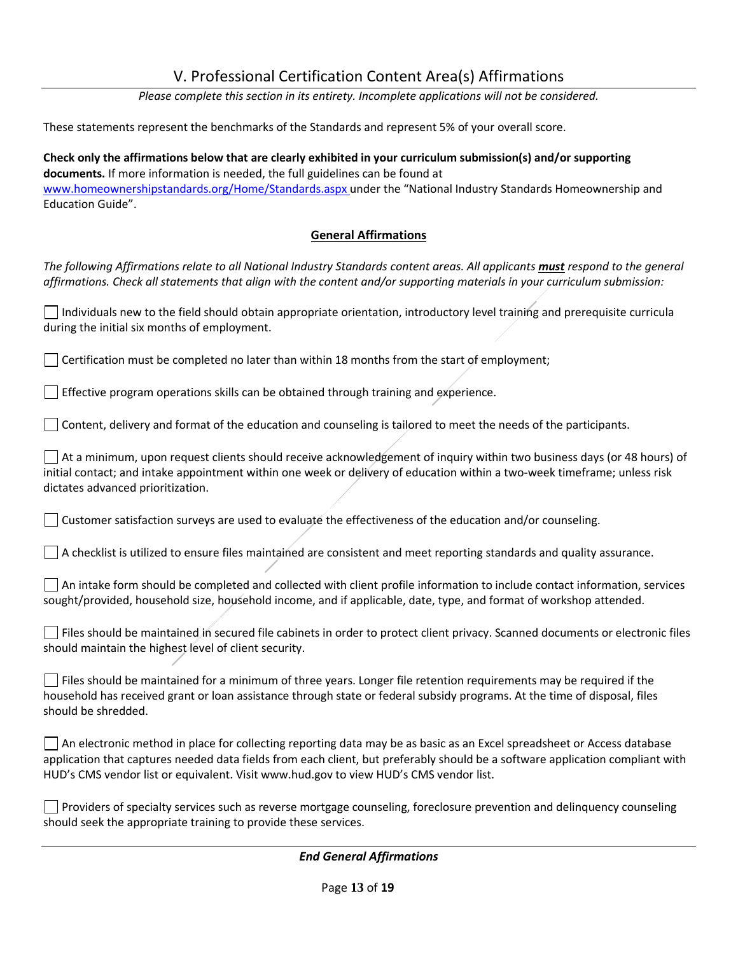## V. Professional Certification Content Area(s) Affirmations

*Please complete this section in its entirety. Incomplete applications will not be considered.*

These statements represent the benchmarks of the Standards and represent 5% of your overall score.

**Check only the affirmations below that are clearly exhibited in your curriculum submission(s) and/or supporting documents.** If more information is needed, the full guidelines can be found at [www.homeownershipstandards.org/Home/Standards.aspx](http://www.homeownershipstandards.org/Home/Standards.aspx) under the "National Industry Standards Homeownership and Education Guide".

### **General Affirmations**

*The following Affirmations relate to all National Industry Standards content areas. All applicants must respond to the general affirmations. Check all statements that align with the content and/or supporting materials in your curriculum submission:*

 $\Box$  Individuals new to the field should obtain appropriate orientation, introductory level training and prerequisite curricula during the initial six months of employment.

 $\Box$  Certification must be completed no later than within 18 months from the start of employment;

Effective program operations skills can be obtained through training and experience.

 $\Box$  Content, delivery and format of the education and counseling is tailored to meet the needs of the participants.

At a minimum, upon request clients should receive acknowledgement of inquiry within two business days (or 48 hours) of initial contact; and intake appointment within one week or delivery of education within a two-week timeframe; unless risk dictates advanced prioritization.

 $\Box$  Customer satisfaction surveys are used to evaluate the effectiveness of the education and/or counseling.

 $\Box$  A checklist is utilized to ensure files maintained are consistent and meet reporting standards and quality assurance.

 $\Box$  An intake form should be completed and collected with client profile information to include contact information, services sought/provided, household size, household income, and if applicable, date, type, and format of workshop attended.

 $\Box$  Files should be maintained in secured file cabinets in order to protect client privacy. Scanned documents or electronic files should maintain the highest level of client security.

 $\Box$  Files should be maintained for a minimum of three years. Longer file retention requirements may be required if the household has received grant or loan assistance through state or federal subsidy programs. At the time of disposal, files should be shredded.

 $\Box$  An electronic method in place for collecting reporting data may be as basic as an Excel spreadsheet or Access database application that captures needed data fields from each client, but preferably should be a software application compliant with HUD's CMS vendor list or equivalent. Visit www.hud.gov to view HUD's CMS vendor list.

Providers of specialty services such as reverse mortgage counseling, foreclosure prevention and delinquency counseling should seek the appropriate training to provide these services.

*End General Affirmations*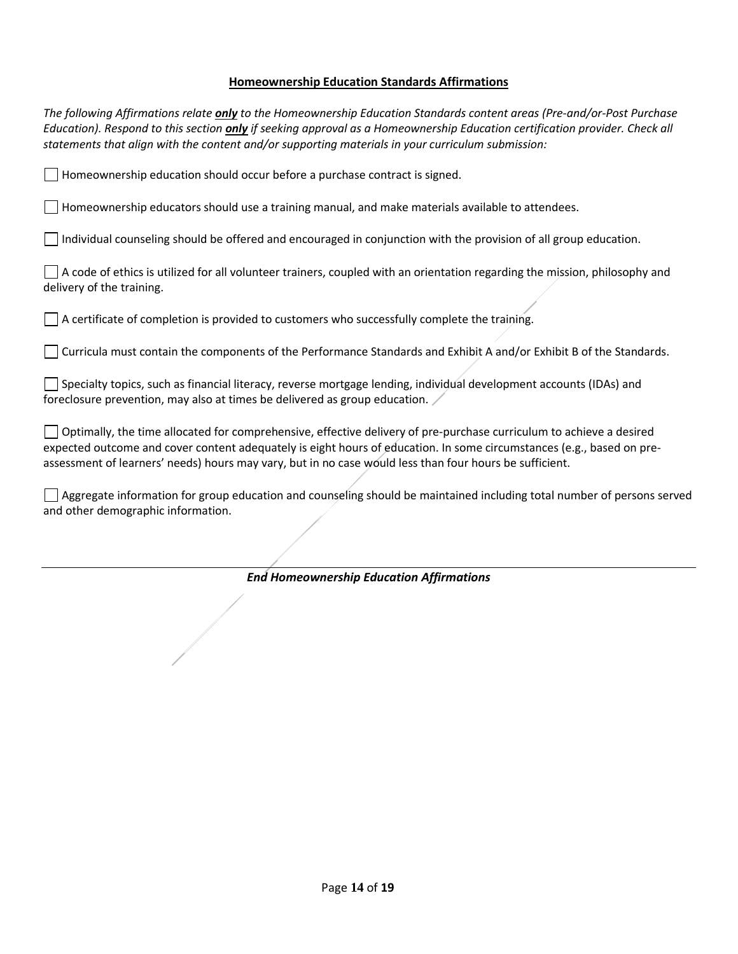#### **Homeownership Education Standards Affirmations**

*The following Affirmations relate only to the Homeownership Education Standards content areas (Pre-and/or-Post Purchase Education). Respond to this section only if seeking approval as a Homeownership Education certification provider. Check all statements that align with the content and/or supporting materials in your curriculum submission:*  $\vert \ \vert$  Homeownership education should occur before a purchase contract is signed.  $\Box$  Homeownership educators should use a training manual, and make materials available to attendees. Individual counseling should be offered and encouraged in conjunction with the provision of all group education.  $\Box$  A code of ethics is utilized for all volunteer trainers, coupled with an orientation regarding the mission, philosophy and delivery of the training.  $\Box$  A certificate of completion is provided to customers who successfully complete the training. Curricula must contain the components of the Performance Standards and Exhibit A and/or Exhibit B of the Standards. Specialty topics, such as financial literacy, reverse mortgage lending, individual development accounts (IDAs) and foreclosure prevention, may also at times be delivered as group education. Optimally, the time allocated for comprehensive, effective delivery of pre-purchase curriculum to achieve a desired expected outcome and cover content adequately is eight hours of education. In some circumstances (e.g., based on preassessment of learners' needs) hours may vary, but in no case would less than four hours be sufficient. Aggregate information for group education and counseling should be maintained including total number of persons served and other demographic information.

*End Homeownership Education Affirmations*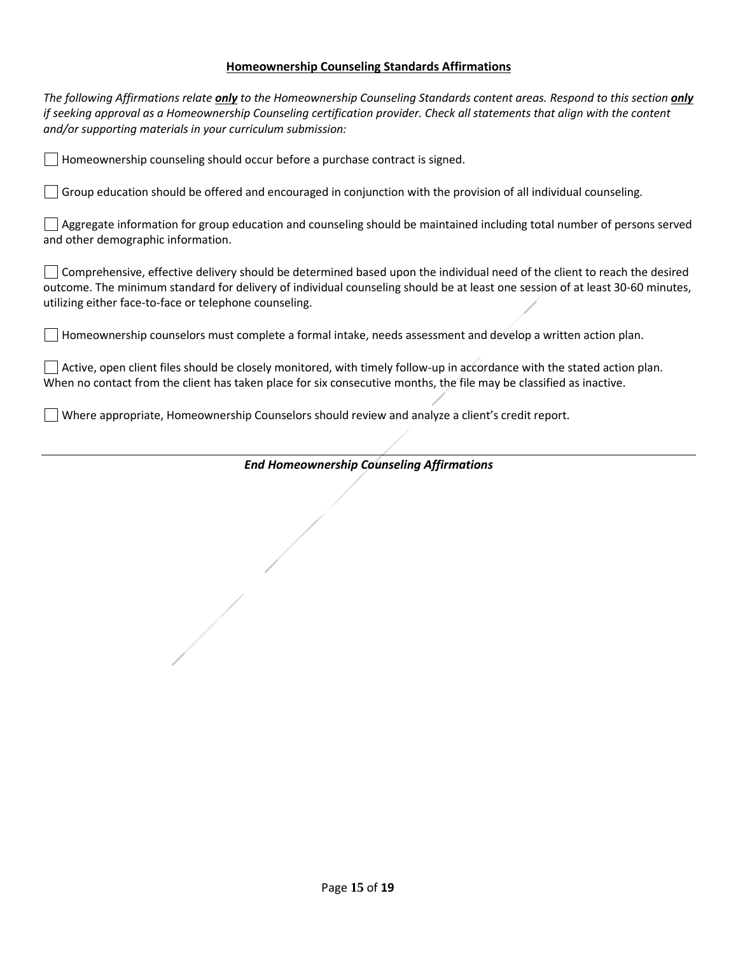### **Homeownership Counseling Standards Affirmations**

| <b>End Homeownership Counseling Affirmations</b>                                                                                                                                                                                                                                                                                       |  |  |
|----------------------------------------------------------------------------------------------------------------------------------------------------------------------------------------------------------------------------------------------------------------------------------------------------------------------------------------|--|--|
|                                                                                                                                                                                                                                                                                                                                        |  |  |
| Where appropriate, Homeownership Counselors should review and analyze a client's credit report.                                                                                                                                                                                                                                        |  |  |
| Active, open client files should be closely monitored, with timely follow-up in accordance with the stated action plan.<br>When no contact from the client has taken place for six consecutive months, the file may be classified as inactive.                                                                                         |  |  |
| $\Box$ Homeownership counselors must complete a formal intake, needs assessment and develop a written action plan.                                                                                                                                                                                                                     |  |  |
| Comprehensive, effective delivery should be determined based upon the individual need of the client to reach the desired<br>outcome. The minimum standard for delivery of individual counseling should be at least one session of at least 30-60 minutes,<br>utilizing either face-to-face or telephone counseling.                    |  |  |
| Aggregate information for group education and counseling should be maintained including total number of persons served<br>and other demographic information.                                                                                                                                                                           |  |  |
| $\Box$ Group education should be offered and encouraged in conjunction with the provision of all individual counseling.                                                                                                                                                                                                                |  |  |
| $\Box$ Homeownership counseling should occur before a purchase contract is signed.                                                                                                                                                                                                                                                     |  |  |
| The following Affirmations relate <i>only</i> to the Homeownership Counseling Standards content areas. Respond to this section <i>only</i><br>if seeking approval as a Homeownership Counseling certification provider. Check all statements that align with the content<br>and/or supporting materials in your curriculum submission: |  |  |

 $\sqrt{2}$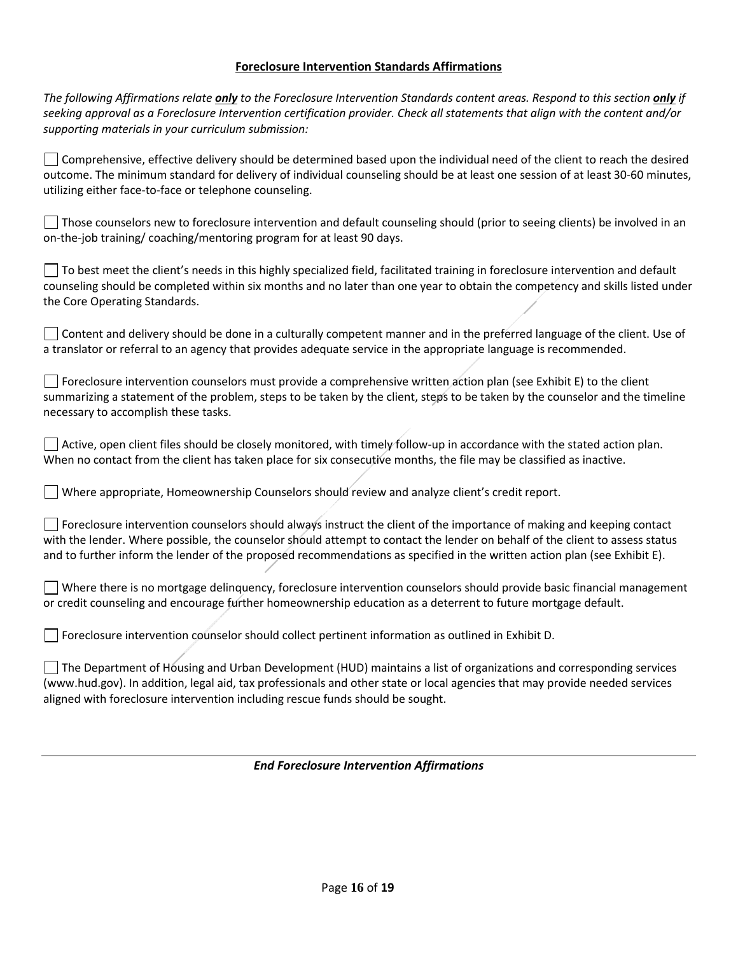### **Foreclosure Intervention Standards Affirmations**

| <b>End Foreclosure Intervention Affirmations</b>                                                                                                                                                                                                                                                                                                                                   |  |
|------------------------------------------------------------------------------------------------------------------------------------------------------------------------------------------------------------------------------------------------------------------------------------------------------------------------------------------------------------------------------------|--|
|                                                                                                                                                                                                                                                                                                                                                                                    |  |
| aligned with foreclosure intervention including rescue funds should be sought.                                                                                                                                                                                                                                                                                                     |  |
| The Department of Housing and Urban Development (HUD) maintains a list of organizations and corresponding services<br>(www.hud.gov). In addition, legal aid, tax professionals and other state or local agencies that may provide needed services                                                                                                                                  |  |
| Foreclosure intervention counselor should collect pertinent information as outlined in Exhibit D.                                                                                                                                                                                                                                                                                  |  |
| Where there is no mortgage delinquency, foreclosure intervention counselors should provide basic financial management<br>or credit counseling and encourage further homeownership education as a deterrent to future mortgage default.                                                                                                                                             |  |
| Foreclosure intervention counselors should always instruct the client of the importance of making and keeping contact<br>with the lender. Where possible, the counselor should attempt to contact the lender on behalf of the client to assess status<br>and to further inform the lender of the proposed recommendations as specified in the written action plan (see Exhibit E). |  |
| Where appropriate, Homeownership Counselors should review and analyze client's credit report.                                                                                                                                                                                                                                                                                      |  |
| Active, open client files should be closely monitored, with timely follow-up in accordance with the stated action plan.<br>When no contact from the client has taken place for six consecutive months, the file may be classified as inactive.                                                                                                                                     |  |
| necessary to accomplish these tasks.                                                                                                                                                                                                                                                                                                                                               |  |
| Foreclosure intervention counselors must provide a comprehensive written action plan (see Exhibit E) to the client<br>summarizing a statement of the problem, steps to be taken by the client, steps to be taken by the counselor and the timeline                                                                                                                                 |  |
| Content and delivery should be done in a culturally competent manner and in the preferred language of the client. Use of<br>a translator or referral to an agency that provides adequate service in the appropriate language is recommended.                                                                                                                                       |  |
| the Core Operating Standards.                                                                                                                                                                                                                                                                                                                                                      |  |
| To best meet the client's needs in this highly specialized field, facilitated training in foreclosure intervention and default<br>counseling should be completed within six months and no later than one year to obtain the competency and skills listed under                                                                                                                     |  |
| Those counselors new to foreclosure intervention and default counseling should (prior to seeing clients) be involved in an<br>on-the-job training/coaching/mentoring program for at least 90 days.                                                                                                                                                                                 |  |
| utilizing either face-to-face or telephone counseling.                                                                                                                                                                                                                                                                                                                             |  |
| Comprehensive, effective delivery should be determined based upon the individual need of the client to reach the desired<br>outcome. The minimum standard for delivery of individual counseling should be at least one session of at least 30-60 minutes,                                                                                                                          |  |
| The following Affirmations relate <i>only</i> to the Foreclosure Intervention Standards content areas. Respond to this section <i>only</i> if<br>seeking approval as a Foreclosure Intervention certification provider. Check all statements that align with the content and/or<br>supporting materials in your curriculum submission:                                             |  |
|                                                                                                                                                                                                                                                                                                                                                                                    |  |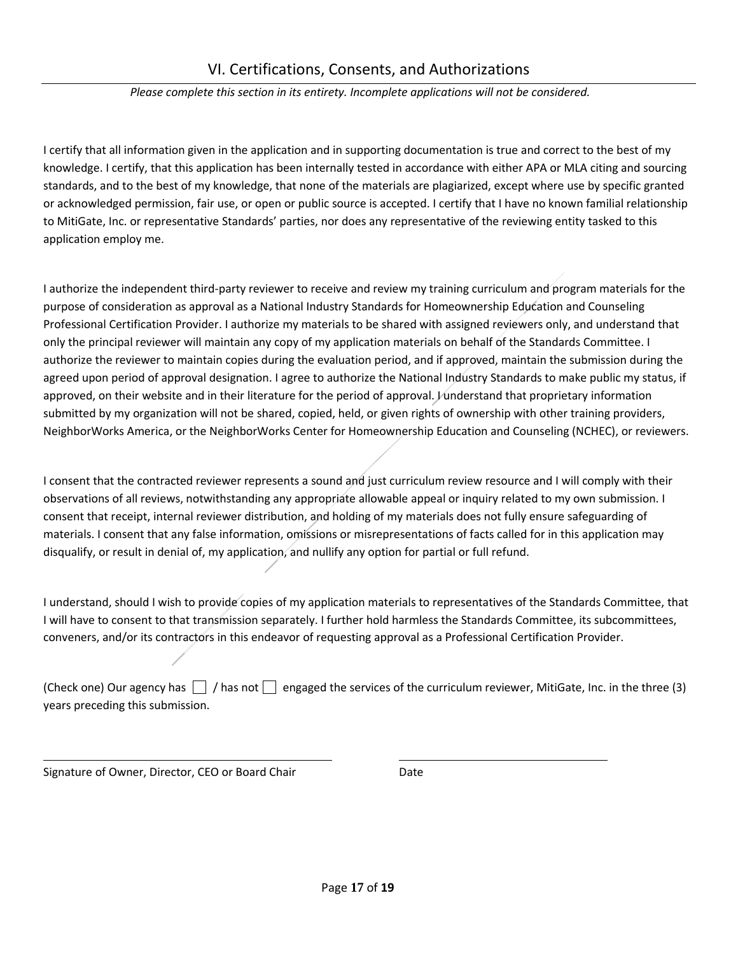#### *Please complete this section in its entirety. Incomplete applications will not be considered.*

I certify that all information given in the application and in supporting documentation is true and correct to the best of my knowledge. I certify, that this application has been internally tested in accordance with either APA or MLA citing and sourcing standards, and to the best of my knowledge, that none of the materials are plagiarized, except where use by specific granted or acknowledged permission, fair use, or open or public source is accepted. I certify that I have no known familial relationship to MitiGate, Inc. or representative Standards' parties, nor does any representative of the reviewing entity tasked to this application employ me.

I authorize the independent third-party reviewer to receive and review my training curriculum and program materials for the purpose of consideration as approval as a National Industry Standards for Homeownership Education and Counseling Professional Certification Provider. I authorize my materials to be shared with assigned reviewers only, and understand that only the principal reviewer will maintain any copy of my application materials on behalf of the Standards Committee. I authorize the reviewer to maintain copies during the evaluation period, and if approved, maintain the submission during the agreed upon period of approval designation. I agree to authorize the National Industry Standards to make public my status, if approved, on their website and in their literature for the period of approval. Junderstand that proprietary information submitted by my organization will not be shared, copied, held, or given rights of ownership with other training providers, NeighborWorks America, or the NeighborWorks Center for Homeownership Education and Counseling (NCHEC), or reviewers.

I consent that the contracted reviewer represents a sound and just curriculum review resource and I will comply with their observations of all reviews, notwithstanding any appropriate allowable appeal or inquiry related to my own submission. I consent that receipt, internal reviewer distribution, and holding of my materials does not fully ensure safeguarding of materials. I consent that any false information, omissions or misrepresentations of facts called for in this application may disqualify, or result in denial of, my application, and nullify any option for partial or full refund.

I understand, should I wish to provide copies of my application materials to representatives of the Standards Committee, that I will have to consent to that transmission separately. I further hold harmless the Standards Committee, its subcommittees, conveners, and/or its contractors in this endeavor of requesting approval as a Professional Certification Provider.

(Check one) Our agency has  $\Box$  / has not  $\Box$  engaged the services of the curriculum reviewer, MitiGate, Inc. in the three (3) years preceding this submission.

Signature of Owner, Director, CEO or Board Chair Date

l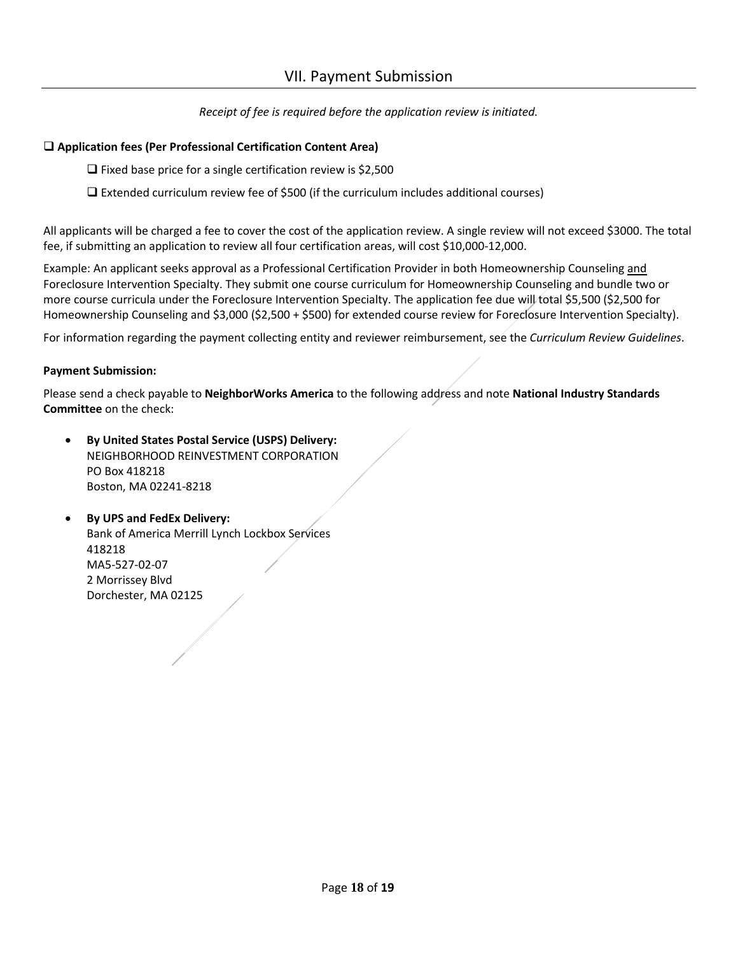*Receipt of fee is required before the application review is initiated.* 

#### **Application fees (Per Professional Certification Content Area)**

- $\Box$  Fixed base price for a single certification review is \$2,500
- $\Box$  Extended curriculum review fee of \$500 (if the curriculum includes additional courses)

All applicants will be charged a fee to cover the cost of the application review. A single review will not exceed \$3000. The total fee, if submitting an application to review all four certification areas, will cost \$10,000-12,000.

Example: An applicant seeks approval as a Professional Certification Provider in both Homeownership Counseling and Foreclosure Intervention Specialty. They submit one course curriculum for Homeownership Counseling and bundle two or more course curricula under the Foreclosure Intervention Specialty. The application fee due will total \$5,500 (\$2,500 for Homeownership Counseling and \$3,000 (\$2,500 + \$500) for extended course review for Foreclosure Intervention Specialty).

For information regarding the payment collecting entity and reviewer reimbursement, see the *Curriculum Review Guidelines*.

#### **Payment Submission:**

Please send a check payable to **NeighborWorks America** to the following address and note **National Industry Standards Committee** on the check:

- **By United States Postal Service (USPS) Delivery:** NEIGHBORHOOD REINVESTMENT CORPORATION PO Box 418218 Boston, MA 02241-8218
- **By UPS and FedEx Delivery:** Bank of America Merrill Lynch Lockbox Services 418218 MA5-527-02-07 2 Morrissey Blvd Dorchester, MA 02125